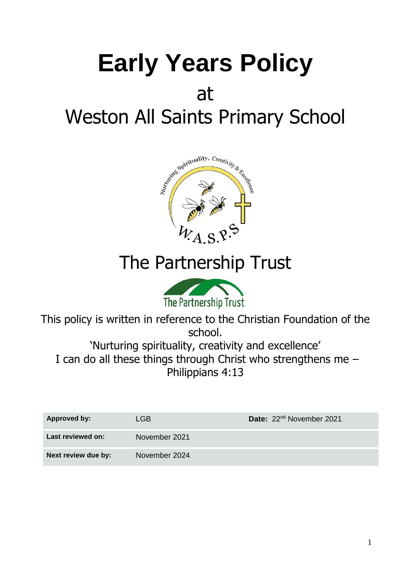# **Early Years Policy** at Weston All Saints Primary School



# The Partnership Trust



This policy is written in reference to the Christian Foundation of the school.

'Nurturing spirituality, creativity and excellence' I can do all these things through Christ who strengthens me – Philippians 4:13

| Approved by:        | LGB.          | Date: 22 <sup>nd</sup> November 2021 |
|---------------------|---------------|--------------------------------------|
| Last reviewed on:   | November 2021 |                                      |
| Next review due by: | November 2024 |                                      |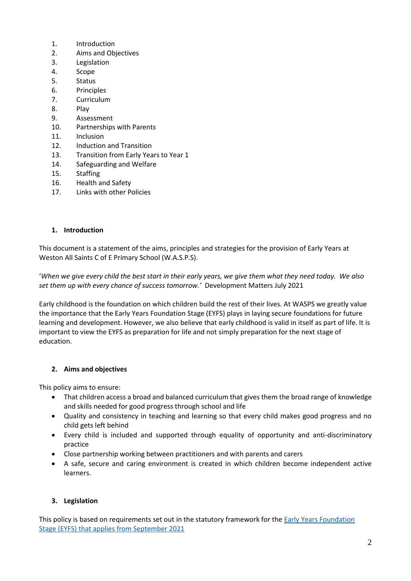- 1. Introduction
- 2. Aims and Objectives
- 3. Legislation
- 4. Scope
- 5. Status
- 6. Principles
- 7. Curriculum
- 8. Play
- 9. Assessment
- 10. Partnerships with Parents
- 11. Inclusion
- 12. Induction and Transition
- 13. Transition from Early Years to Year 1
- 14. Safeguarding and Welfare
- 15. Staffing
- 16. Health and Safety
- 17. Links with other Policies

#### **1. Introduction**

This document is a statement of the aims, principles and strategies for the provision of Early Years at Weston All Saints C of E Primary School (W.A.S.P.S).

'*When we give every child the best start in their early years, we give them what they need today. We also set them up with every chance of success tomorrow.'* Development Matters July 2021

Early childhood is the foundation on which children build the rest of their lives. At WASPS we greatly value the importance that the Early Years Foundation Stage (EYFS) plays in laying secure foundations for future learning and development. However, we also believe that early childhood is valid in itself as part of life. It is important to view the EYFS as preparation for life and not simply preparation for the next stage of education.

#### **2. Aims and objectives**

This policy aims to ensure:

- That children access a broad and balanced curriculum that gives them the broad range of knowledge and skills needed for good progress through school and life
- Quality and consistency in teaching and learning so that every child makes good progress and no child gets left behind
- Every child is included and supported through equality of opportunity and anti-discriminatory practice
- Close partnership working between practitioners and with parents and carers
- A safe, secure and caring environment is created in which children become independent active learners.

# **3. Legislation**

This policy is based on requirements set out in the statutory framework for the **Early Years Foundation** [Stage \(EYFS\) that applies from September 2021](https://assets.publishing.service.gov.uk/government/uploads/system/uploads/attachment_data/file/974907/EYFS_framework_-_March_2021.pdf)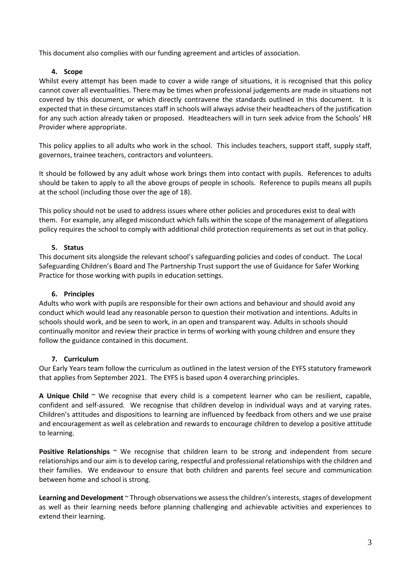This document also complies with our funding agreement and articles of association.

#### **4. Scope**

Whilst every attempt has been made to cover a wide range of situations, it is recognised that this policy cannot cover all eventualities. There may be times when professional judgements are made in situations not covered by this document, or which directly contravene the standards outlined in this document. It is expected that in these circumstances staff in schools will always advise their headteachers of the justification for any such action already taken or proposed. Headteachers will in turn seek advice from the Schools' HR Provider where appropriate.

This policy applies to all adults who work in the school. This includes teachers, support staff, supply staff, governors, trainee teachers, contractors and volunteers.

It should be followed by any adult whose work brings them into contact with pupils. References to adults should be taken to apply to all the above groups of people in schools. Reference to pupils means all pupils at the school (including those over the age of 18).

This policy should not be used to address issues where other policies and procedures exist to deal with them. For example, any alleged misconduct which falls within the scope of the management of allegations policy requires the school to comply with additional child protection requirements as set out in that policy.

#### **5. Status**

This document sits alongside the relevant school's safeguarding policies and codes of conduct. The Local Safeguarding Children's Board and The Partnership Trust support the use of Guidance for Safer Working Practice for those working with pupils in education settings.

#### **6. Principles**

Adults who work with pupils are responsible for their own actions and behaviour and should avoid any conduct which would lead any reasonable person to question their motivation and intentions. Adults in schools should work, and be seen to work, in an open and transparent way. Adults in schools should continually monitor and review their practice in terms of working with young children and ensure they follow the guidance contained in this document.

#### **7. Curriculum**

Our Early Years team follow the curriculum as outlined in the latest version of the EYFS statutory framework that applies from September 2021. The EYFS is based upon 4 overarching principles.

**A Unique Child** ~ We recognise that every child is a competent learner who can be resilient, capable, confident and self-assured. We recognise that children develop in individual ways and at varying rates. Children's attitudes and dispositions to learning are influenced by feedback from others and we use praise and encouragement as well as celebration and rewards to encourage children to develop a positive attitude to learning.

**Positive Relationships** ~ We recognise that children learn to be strong and independent from secure relationships and our aim is to develop caring, respectful and professional relationships with the children and their families. We endeavour to ensure that both children and parents feel secure and communication between home and school is strong.

**Learning and Development** ~ Through observations we assess the children's interests, stages of development as well as their learning needs before planning challenging and achievable activities and experiences to extend their learning.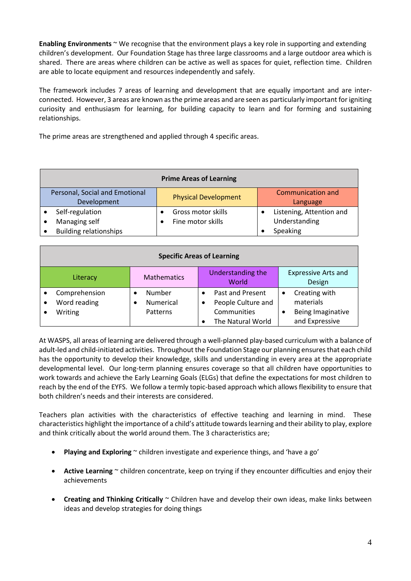**Enabling Environments** ~ We recognise that the environment plays a key role in supporting and extending children's development. Our Foundation Stage has three large classrooms and a large outdoor area which is shared. There are areas where children can be active as well as spaces for quiet, reflection time. Children are able to locate equipment and resources independently and safely.

The framework includes 7 areas of learning and development that are equally important and are interconnected. However, 3 areas are known as the prime areas and are seen as particularly important for igniting curiosity and enthusiasm for learning, for building capacity to learn and for forming and sustaining relationships.

The prime areas are strengthened and applied through 4 specific areas.

| <b>Prime Areas of Learning</b> |                                               |  |                             |  |                               |  |  |
|--------------------------------|-----------------------------------------------|--|-----------------------------|--|-------------------------------|--|--|
|                                | Personal, Social and Emotional<br>Development |  | <b>Physical Development</b> |  | Communication and<br>Language |  |  |
|                                | Self-regulation                               |  | Gross motor skills          |  | Listening, Attention and      |  |  |
|                                | Managing self                                 |  | Fine motor skills           |  | Understanding                 |  |  |
|                                | <b>Building relationships</b>                 |  |                             |  | Speaking                      |  |  |

| <b>Specific Areas of Learning</b>        |                                        |                                                                                 |                                                                   |  |  |  |  |  |  |
|------------------------------------------|----------------------------------------|---------------------------------------------------------------------------------|-------------------------------------------------------------------|--|--|--|--|--|--|
| Literacy                                 | <b>Mathematics</b>                     | Understanding the<br>World                                                      | <b>Expressive Arts and</b><br>Design                              |  |  |  |  |  |  |
| Comprehension<br>Word reading<br>Writing | Number<br><b>Numerical</b><br>Patterns | Past and Present<br>People Culture and<br>٠<br>Communities<br>The Natural World | Creating with<br>materials<br>Being Imaginative<br>and Expressive |  |  |  |  |  |  |

At WASPS, all areas of learning are delivered through a well-planned play-based curriculum with a balance of adult-led and child-initiated activities. Throughout the Foundation Stage our planning ensures that each child has the opportunity to develop their knowledge, skills and understanding in every area at the appropriate developmental level. Our long-term planning ensures coverage so that all children have opportunities to work towards and achieve the Early Learning Goals (ELGs) that define the expectations for most children to reach by the end of the EYFS. We follow a termly topic-based approach which allows flexibility to ensure that both children's needs and their interests are considered.

Teachers plan activities with the characteristics of effective teaching and learning in mind. These characteristics highlight the importance of a child's attitude towardslearning and their ability to play, explore and think critically about the world around them. The 3 characteristics are;

- **Playing and Exploring** ~ children investigate and experience things, and 'have a go'
- Active Learning ~ children concentrate, keep on trying if they encounter difficulties and enjoy their achievements
- **Creating and Thinking Critically** ~ Children have and develop their own ideas, make links between ideas and develop strategies for doing things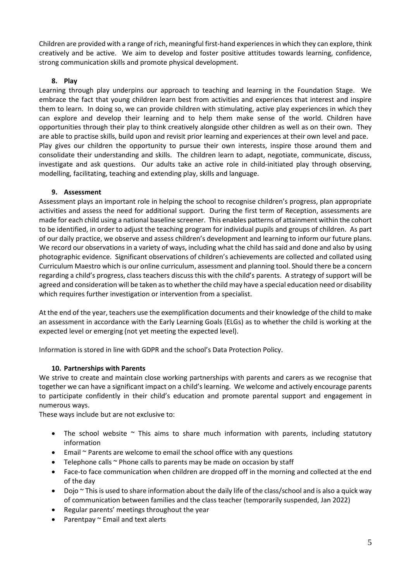Children are provided with a range of rich, meaningful first-hand experiences in which they can explore, think creatively and be active. We aim to develop and foster positive attitudes towards learning, confidence, strong communication skills and promote physical development.

#### **8. Play**

Learning through play underpins our approach to teaching and learning in the Foundation Stage. We embrace the fact that young children learn best from activities and experiences that interest and inspire them to learn. In doing so, we can provide children with stimulating, active play experiences in which they can explore and develop their learning and to help them make sense of the world. Children have opportunities through their play to think creatively alongside other children as well as on their own. They are able to practise skills, build upon and revisit prior learning and experiences at their own level and pace. Play gives our children the opportunity to pursue their own interests, inspire those around them and consolidate their understanding and skills. The children learn to adapt, negotiate, communicate, discuss, investigate and ask questions. Our adults take an active role in child-initiated play through observing, modelling, facilitating, teaching and extending play, skills and language.

# **9. Assessment**

Assessment plays an important role in helping the school to recognise children's progress, plan appropriate activities and assess the need for additional support. During the first term of Reception, assessments are made for each child using a national baseline screener. This enables patterns of attainment within the cohort to be identified, in order to adjust the teaching program for individual pupils and groups of children. As part of our daily practice, we observe and assess children's development and learning to inform our future plans. We record our observations in a variety of ways, including what the child has said and done and also by using photographic evidence. Significant observations of children's achievements are collected and collated using Curriculum Maestro which is our online curriculum, assessment and planning tool. Should there be a concern regarding a child's progress, class teachers discuss this with the child's parents. A strategy of support will be agreed and consideration will be taken as to whether the child may have a special education need or disability which requires further investigation or intervention from a specialist.

At the end of the year, teachers use the exemplification documents and their knowledge of the child to make an assessment in accordance with the Early Learning Goals (ELGs) as to whether the child is working at the expected level or emerging (not yet meeting the expected level).

Information is stored in line with GDPR and the school's Data Protection Policy.

#### **10. Partnerships with Parents**

We strive to create and maintain close working partnerships with parents and carers as we recognise that together we can have a significant impact on a child's learning. We welcome and actively encourage parents to participate confidently in their child's education and promote parental support and engagement in numerous ways.

These ways include but are not exclusive to:

- The school website  $\sim$  This aims to share much information with parents, including statutory information
- Email ~ Parents are welcome to email the school office with any questions
- Telephone calls  $\sim$  Phone calls to parents may be made on occasion by staff
- Face-to face communication when children are dropped off in the morning and collected at the end of the day
- Dojo ~ This is used to share information about the daily life of the class/school and is also a quick way of communication between families and the class teacher (temporarily suspended, Jan 2022)
- Regular parents' meetings throughout the year
- Parentpay ~ Email and text alerts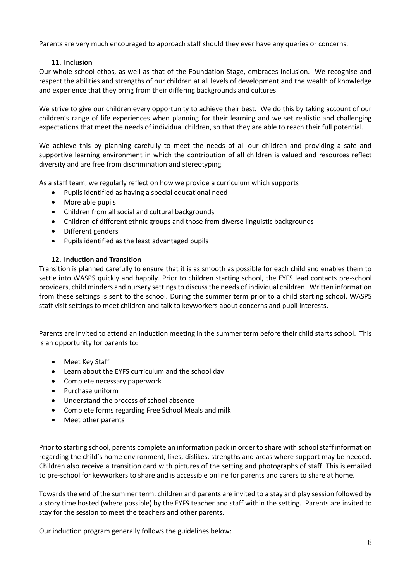Parents are very much encouraged to approach staff should they ever have any queries or concerns.

#### **11. Inclusion**

Our whole school ethos, as well as that of the Foundation Stage, embraces inclusion. We recognise and respect the abilities and strengths of our children at all levels of development and the wealth of knowledge and experience that they bring from their differing backgrounds and cultures.

We strive to give our children every opportunity to achieve their best. We do this by taking account of our children's range of life experiences when planning for their learning and we set realistic and challenging expectations that meet the needs of individual children, so that they are able to reach their full potential.

We achieve this by planning carefully to meet the needs of all our children and providing a safe and supportive learning environment in which the contribution of all children is valued and resources reflect diversity and are free from discrimination and stereotyping.

As a staff team, we regularly reflect on how we provide a curriculum which supports

- Pupils identified as having a special educational need
- More able pupils
- Children from all social and cultural backgrounds
- Children of different ethnic groups and those from diverse linguistic backgrounds
- Different genders
- Pupils identified as the least advantaged pupils

#### **12. Induction and Transition**

Transition is planned carefully to ensure that it is as smooth as possible for each child and enables them to settle into WASPS quickly and happily. Prior to children starting school, the EYFS lead contacts pre-school providers, child minders and nursery settings to discuss the needs of individual children. Written information from these settings is sent to the school. During the summer term prior to a child starting school, WASPS staff visit settings to meet children and talk to keyworkers about concerns and pupil interests.

Parents are invited to attend an induction meeting in the summer term before their child starts school. This is an opportunity for parents to:

- Meet Key Staff
- Learn about the EYFS curriculum and the school day
- Complete necessary paperwork
- Purchase uniform
- Understand the process of school absence
- Complete forms regarding Free School Meals and milk
- Meet other parents

Prior to starting school, parents complete an information pack in order to share with school staff information regarding the child's home environment, likes, dislikes, strengths and areas where support may be needed. Children also receive a transition card with pictures of the setting and photographs of staff. This is emailed to pre-school for keyworkers to share and is accessible online for parents and carers to share at home.

Towards the end of the summer term, children and parents are invited to a stay and play session followed by a story time hosted (where possible) by the EYFS teacher and staff within the setting. Parents are invited to stay for the session to meet the teachers and other parents.

Our induction program generally follows the guidelines below: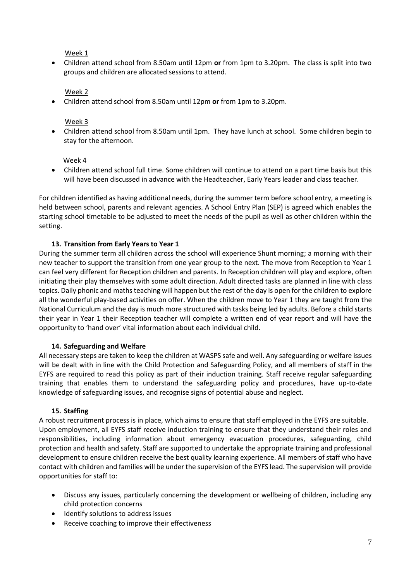Week 1

• Children attend school from 8.50am until 12pm **or** from 1pm to 3.20pm. The class is split into two groups and children are allocated sessions to attend.

# Week 2

• Children attend school from 8.50am until 12pm **or** from 1pm to 3.20pm.

### Week 3

• Children attend school from 8.50am until 1pm. They have lunch at school. Some children begin to stay for the afternoon.

#### Week 4

• Children attend school full time. Some children will continue to attend on a part time basis but this will have been discussed in advance with the Headteacher, Early Years leader and class teacher.

For children identified as having additional needs, during the summer term before school entry, a meeting is held between school, parents and relevant agencies. A School Entry Plan (SEP) is agreed which enables the starting school timetable to be adjusted to meet the needs of the pupil as well as other children within the setting.

# **13. Transition from Early Years to Year 1**

During the summer term all children across the school will experience Shunt morning; a morning with their new teacher to support the transition from one year group to the next. The move from Reception to Year 1 can feel very different for Reception children and parents. In Reception children will play and explore, often initiating their play themselves with some adult direction. Adult directed tasks are planned in line with class topics. Daily phonic and maths teaching will happen but the rest of the day is open for the children to explore all the wonderful play-based activities on offer. When the children move to Year 1 they are taught from the National Curriculum and the day is much more structured with tasks being led by adults. Before a child starts their year in Year 1 their Reception teacher will complete a written end of year report and will have the opportunity to 'hand over' vital information about each individual child.

#### **14. Safeguarding and Welfare**

All necessary steps are taken to keep the children at WASPS safe and well. Any safeguarding or welfare issues will be dealt with in line with the Child Protection and Safeguarding Policy, and all members of staff in the EYFS are required to read this policy as part of their induction training. Staff receive regular safeguarding training that enables them to understand the safeguarding policy and procedures, have up-to-date knowledge of safeguarding issues, and recognise signs of potential abuse and neglect.

#### **15. Staffing**

A robust recruitment process is in place, which aims to ensure that staff employed in the EYFS are suitable. Upon employment, all EYFS staff receive induction training to ensure that they understand their roles and responsibilities, including information about emergency evacuation procedures, safeguarding, child protection and health and safety. Staff are supported to undertake the appropriate training and professional development to ensure children receive the best quality learning experience. All members of staff who have contact with children and families will be under the supervision of the EYFS lead. The supervision will provide opportunities for staff to:

- Discuss any issues, particularly concerning the development or wellbeing of children, including any child protection concerns
- Identify solutions to address issues
- Receive coaching to improve their effectiveness